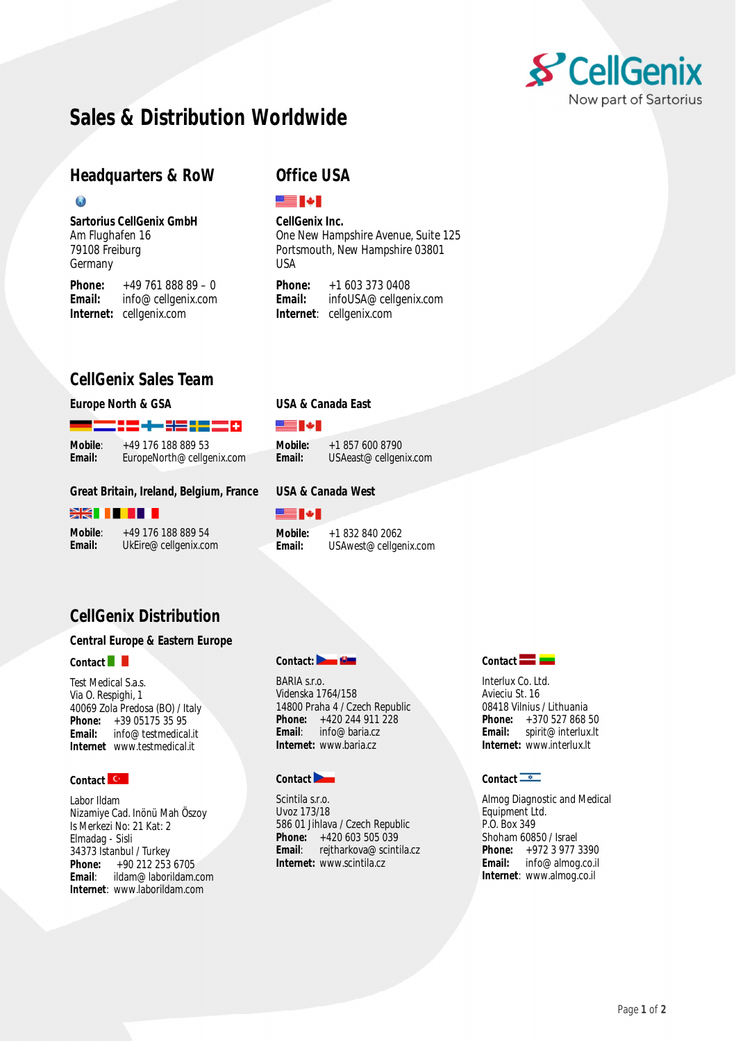

# **Sales & Distribution Worldwide**

## **Headquarters & RoW**

#### $\mathbf{G}$

**Sartorius CellGenix GmbH** Am Flughafen 16 79108 Freiburg Germany

**Phone:** +49 761 888 89 – 0<br>**Email:** info@cellgenix.com **Email:** [info@cellgenix.com](mailto:info@cellgenix.com) **Internet:** cellgenix.com

## **Office USA**

SS I + I

**CellGenix Inc.** One New Hampshire Avenue, Suite 125 Portsmouth, New Hampshire 03801 USA

**Phone:** +1 603 373 0408<br>**Fmail:** infol JSA@cellgen **Email:** [infoUSA@cellgenix.com](mailto:infoUSA@cellgenix.com) **Internet**: cellgenix.com

## **CellGenix Sales Team**

### **Europe North & GSA**

## **USA & Canada East**

**USA & Canada West**

SE N

██▌◆▌

**Mobile**: +49 176 188 889 53<br>**Email:** FuropeNorth@cellge

▆▆▝▃▖▞▃▗▄▗▓▆▗▅▗▅▅

**Email:** [EuropeNorth@cellgenix.com](mailto:EuropeNorth@cellgenix.com)

**Mobile:** +1 857 600 8790<br>**Email:** USAeast@cellger **Email:** [USAeast@cellgenix.com](mailto:USAeast@cellgenix.com)

### **Great Britain, Ireland, Belgium, France**

#### **XXIIIII**

**Mobile**: +49 176 188 889 54<br>**Email:** UkEire@cellgenix.com **Email:** [UkEire@cellgenix.com](mailto:UkEire@cellgenix.com)

**Mobile:** +1 832 840 2062<br>**Email:** USAwest@cellger **Email:** [USAwest@cellgenix.com](mailto:USAwest@cellgenix.com)

## **CellGenix Distribution**

### **Central Europe & Eastern Europe**

#### **Contact**

Test Medical S.a.s. Via O. Respighi, 1 40069 Zola Predosa (BO) / Italy **Phone:** +39 05175 35 95<br>**Email:** info@testmedica **Email:** [info@testmedical.it](mailto:info@testmedical.it) **Internet** [www.testmedical.it](http://www.testmedical.it)

## Contact **C**

Labor Ildam Nizamiye Cad. Inönü Mah Öszoy Is Merkezi No: 21 Kat: 2 Elmadag - Sisli 34373 Istanbul / Turkey<br>**Phone:** +90 212 253 **Phone:** +90 212 253 6705<br>**Email:** ildam@laborildam. **Email**: [ildam@laborildam.com](mailto:ildam@laborildam.com) **Internet**: [www.laborildam.com](http://www.laborildam.com)

### Contact: **Denta**

BARIA s.r.o. Videnska 1764/158 14800 Praha 4 / Czech Republic **Phone:** +420 244 911 228<br>**Email:** info@baria.cz **Email**: [info@baria.cz](mailto:info@baria.cz) **Internet:** [www.baria.cz](http://www.baria.cz)

## **Contact**

Scintila s.r.o. Uvoz 173/18 586 01 Jihlava / Czech Republic **Phone:** +420 603 505 039<br>**Email:** reitharkova@scinti **Email**: [rejtharkova@scintila.cz](mailto:rejtharkova@scintila.cz) **Internet:** [www.scintila.cz](http://www.scintila.cz)



Interlux Co. Ltd. Avieciu St. 16 08418 Vilnius / Lithuania **Phone:** +370 527 868 50<br>**Email:** spirit@interlux.lt **Email:** [spirit@interlux.lt](mailto:spirit@interlux.lt) **Internet:** [www.interlux.lt](http://www.interlux.lt)

## **Contact**

Almog Diagnostic and Medical Equipment Ltd. P.O. Box 349 Shoham 60850 / Israel **Phone:** +972 3 977 3390<br>**Email:** info@almog.co.il **Email:** [info@almog.co.il](mailto:info@almog.co.il) **Internet**: [www.almog.co.il](http://www.almog.co.il)